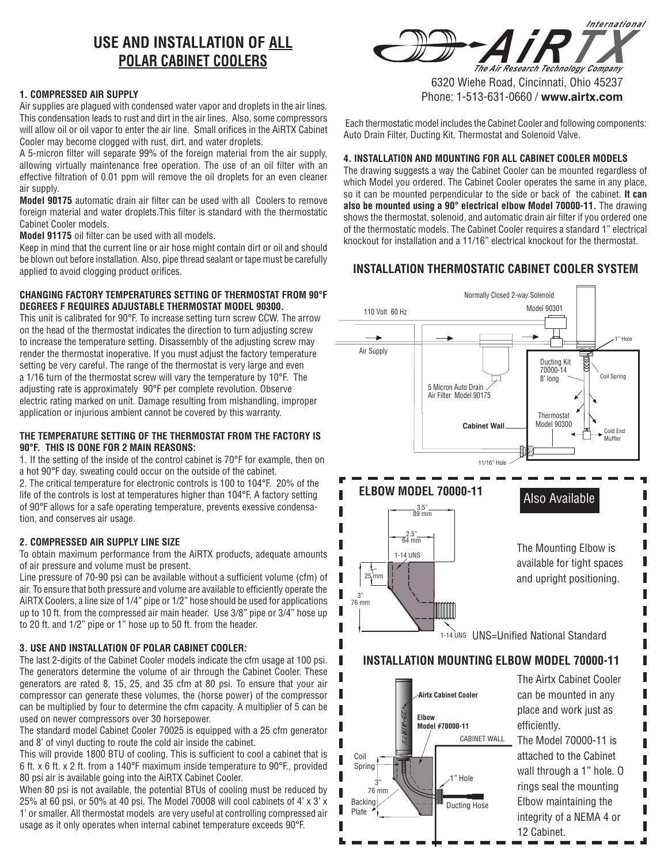# **USE AND INSTALLATION OF ALL POLAR CABINET COOLERS**

## **1. COMPRESSED AIR SUPPLY**

Air supplies are plagued with condensed water vapor and droplets in the air lines. This condensation leads to rust and dirt in the air lines. Also, some compressors will allow oil or oil vapor to enter the air line. Small orifices in the AiRTX Cabinet Cooler may become clogged with rust, dirt, and water droplets.

A 5-micron filter will separate 99% of the foreign material from the air supply, allowing virtually maintenance free operation. The use of an oil filter with an effective filtration of 0.01 ppm will remove the oil droplets for an even cleaner air supply.

**Model 90175** automatic drain air filter can be used with all Coolers to remove foreign material and water droplets.This filter is standard with the thermostatic Cabinet Cooler models.

**Model 91175** oil filter can be used with all models.

Keep in mind that the current line or air hose might contain dirt or oil and should be blown out before installation. Also, pipe thread sealant or tape must be carefully applied to avoid clogging product orifices.

## **CHANGING FACTORY TEMPERATURES SETTING OF THERMOSTAT FROM 90°F DEGREES F REQUIRES ADJUSTABLE THERMOSTAT MODEL 90300.**

This unit is calibrated for 90°F. To increase setting turn screw CCW. The arrow on the head of the thermostat indicates the direction to turn adjusting screw to increase the temperature setting. Disassembly of the adjusting screw may render the thermostat inoperative. If you must adjust the factory temperature setting be very careful. The range of the thermostat is very large and even a 1/16 turn of the thermostat screw will vary the temperature by 10°F. The adjusting rate is approximately 90°F per complete revolution. Observe electric rating marked on unit. Damage resulting from mishandling, improper application or injurious ambient cannot be covered by this warranty.

## **THE TEMPERATURE SETTING OF THE THERMOSTAT FROM THE FACTORY IS 90°F. THIS IS DONE FOR 2 MAIN REASONS:**

1. If the setting of the inside of the control cabinet is 70°F for example, then on a hot 90°F day, sweating could occur on the outside of the cabinet.

2. The critical temperature for electronic controls is 100 to 104°F. 20% of the life of the controls is lost at temperatures higher than 104°F. A factory setting of 90°F allows for a safe operating temperature, prevents exessive condensation, and conserves air usage.

# **2. COMPRESSED AIR SUPPLY LINE SIZE**

To obtain maximum performance from the AiRTX products, adequate amounts of air pressure and volume must be present.

Line pressure of 70-90 psi can be available without a sufficient volume (cfm) of air. To ensure that both pressure and volume are available to efficiently operate the AiRTX Coolers, a line size of 1/4" pipe or 1/2" hose should be used for applications up to 10 ft. from the compressed air main header. Use 3/8" pipe or 3/4" hose up to 20 ft. and 1/2" pipe or 1" hose up to 50 ft. from the header.

# **3. USE AND INSTALLATION OF POLAR CABINET COOLER:**

The last 2-digits of the Cabinet Cooler models indicate the cfm usage at 100 psi. The generators determine the volume of air through the Cabinet Cooler. These generators are rated 8, 15, 25, and 35 cfm at 80 psi. To ensure that your air compressor can generate these volumes, the (horse power) of the compressor can be multiplied by four to determine the cfm capacity. A multiplier of 5 can be used on newer compressors over 30 horsepower.

The standard model Cabinet Cooler 70025 is equipped with a 25 cfm generator and 8' of vinyl ducting to route the cold air inside the cabinet.

This will provide 1800 BTU of cooling. This is sufficient to cool a cabinet that is 6 ft. x 6 ft. x 2 ft. from a 140°F maximum inside temperature to 90°F., provided 80 psi air is available going into the AiRTX Cabinet Cooler.

When 80 psi is not available, the potential BTUs of cooling must be reduced by 25% at 60 psi, or 50% at 40 psi. The Model 70008 will cool cabinets of 4' x 3' x 1' or smaller. All thermostat models are very useful at controlling compressed air usage as it only operates when internal cabinet temperature exceeds 90°F.



6320 Wiehe Road, Cincinnati, Ohio 45237 Phone: 1-513-631-0660 / **www.airtx.com**

 Each thermostatic model includes the Cabinet Cooler and following components: Auto Drain Filter, Ducting Kit, Thermostat and Solenoid Valve.

# **4. INSTALLATION AND MOUNTING FOR ALL CABINET COOLER MODELS**

The drawing suggests a way the Cabinet Cooler can be mounted regardless of which Model you ordered. The Cabinet Cooler operates the same in any place, so it can be mounted perpendicular to the side or back of the cabinet. **It can also be mounted using a 90° electrical elbow Model 70000-11.** The drawing shows the thermostat, solenoid, and automatic drain air filter if you ordered one of the thermostatic models. The Cabinet Cooler requires a standard 1" electrical knockout for installation and a 11/16" electrical knockout for the thermostat.

# **INSTALLATION THERMOSTATIC CABINET COOLER SYSTEM**





place and work just as efficiently.

The Model 70000-11 is attached to the Cabinet wall through a 1" hole. O rings seal the mounting Elbow maintaining the integrity of a NEMA 4 or 12 Cabinet.